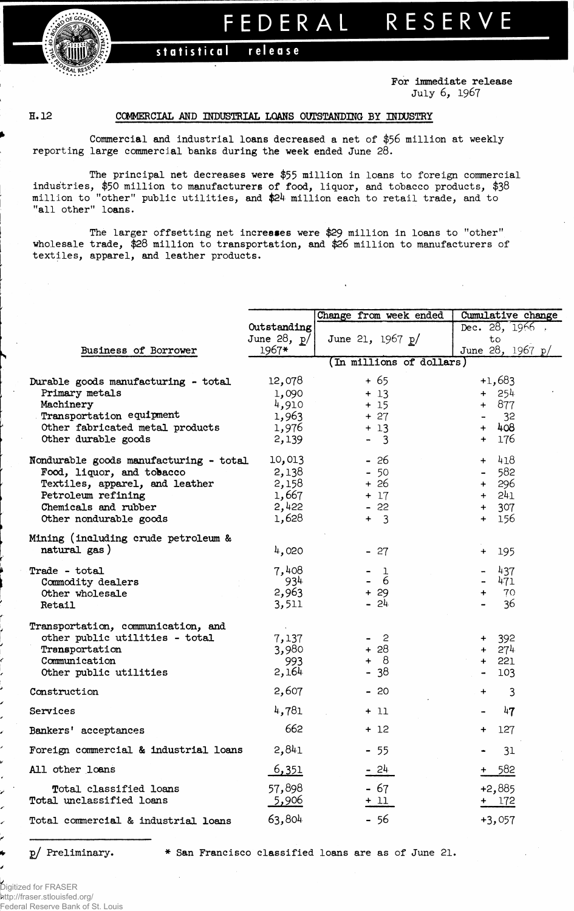## RESERVE FEDERAL

## statistical release

For immediate release July **6, 1967**

## H. 12 COMMERCIAL AND INDUSTRIAL LOANS OUTSTANDING BY INDUSTRY

Commercial and industrial loans decreased a net of \$56 million at weekly reporting large commercial banks during the week ended June 28.

The principal net decreases were \$55 million in loans to foreign commercial industries, **\$50** million to manufacturers of food, liquor, and tobacco products, **\$38** million to "other" public utilities, and \$24 million each to retail trade, and to "all other" loans.

The larger offsetting net increases were \$29 million in loans to "other" wholesale trade, \$28 million to transportation, and \$26 million to manufacturers of textiles, apparel, and leather products.

|                                        |               | Change from week ended   | Cumulative change     |
|----------------------------------------|---------------|--------------------------|-----------------------|
|                                        | Outstanding   |                          | Dec. $28, 1966$ .     |
|                                        | June 28, $p/$ | June 21, 1967 p/         | to                    |
| Business of Borrower                   | $1967*$       |                          | June 28, 1967 p/      |
|                                        |               | (In millions of dollars) |                       |
| Durable goods manufacturing - total    | 12,078        | $+65$                    | $+1,683$              |
| Primary metals                         | 1,090         | $+13$                    | $+ 254$               |
| Machinery                              | 4,910         | $+15$                    | $+ 877$               |
| Transportation equipment               | 1,963         | $+27$                    | 32                    |
| Other fabricated metal products        | 1,976         | $+13$                    | $+ 408$               |
| Other durable goods                    | 2,139         | $-3$                     | 176<br>$+$            |
| Nondurable goods manufacturing - total | 10,013        | $-26$                    | 418<br>$+$            |
| Food, liquor, and tobacco              | 2,138         | $-50$                    | 582<br>$\blacksquare$ |
| Textiles, apparel, and leather         | 2,158         | $+26$                    | 296<br>$+$            |
| Petroleum refining                     | 1,667         | $+ 17$                   | $+ 241$               |
| Chemicals and rubber                   | 2,422         | $-22$                    | $+ 307$               |
| Other nondurable goods                 | 1,628         | $+3$                     | 156<br>$+$            |
|                                        |               |                          |                       |
| Mining (including crude petroleum &    |               |                          |                       |
| natural gas)                           | 4,020         | $-27$                    | 195<br>$\ddot{}$      |
| Trade - total                          | 7,408         | 1                        | 437                   |
| Commodity dealers                      | -934          | 6                        | 471                   |
| Other wholesale                        | 2,963         | $+29$                    | 70<br>$\ddot{}$       |
| Retail                                 | 3,511         | $-24$                    | 36                    |
| Transportation, communication, and     |               |                          |                       |
| other public utilities - total         | 7,137         | $-2$                     | 392<br>$\ddot{}$      |
| Transportation                         | 3,980         | $+28$                    | $+ 274$               |
| Communication                          | 993           | $+ 8$                    | $+ 221$               |
| Other public utilities                 | 2,164         | $-38$                    | 103                   |
|                                        |               |                          |                       |
| Construction                           | 2,607         | - 20                     | 3<br>+                |
| Services                               | 4,781         | + 11                     | 47                    |
| Bankers' acceptances                   | 662           | + 12                     | 127<br>$\ddot{}$      |
| Foreign commercial & industrial loans  | 2,841         | $-55$                    | 31                    |
| All other loans                        | <u>6,351</u>  | - 24                     | 582                   |
| Total classified loans                 | 57,898        | $-67$                    | $+2,885$              |
| Total unclassified loans               | <u>5,906</u>  | $+11$                    | $+ 172$               |
|                                        |               |                          |                       |
| Total commercial & industrial loans    | 63,804        | - 56                     | $+3,057$              |
|                                        |               |                          |                       |

j**j**/ Preliminary. \* San Francisco classified loans are as of June 21.

Digitized for FRASER http://fraser.stlouisfed.org/ Federal Reserve Bank of St. Louis